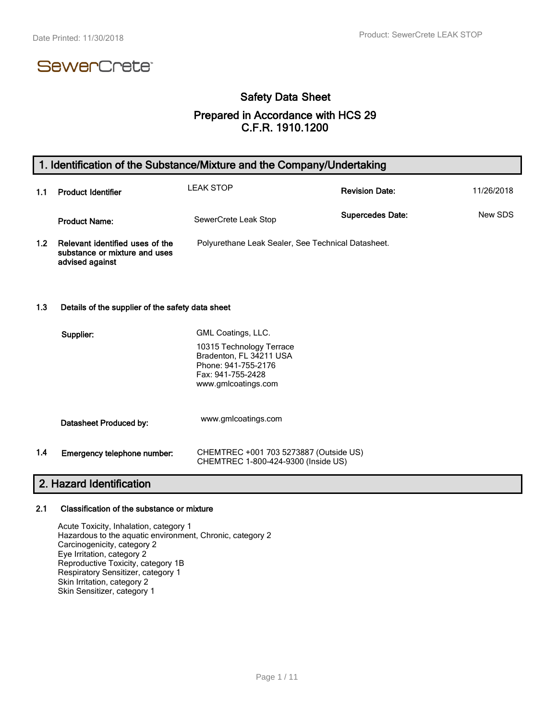# SewerCrete<sup>®</sup>

# Safety Data Sheet

### Prepared in Accordance with HCS 29 C.F.R. 1910.1200

# 1. Identification of the Substance/Mixture and the Company/Undertaking

| 1.1 | <b>Product Identifier</b>                                                           | <b>LEAK STOP</b>                                   | <b>Revision Date:</b>   | 11/26/2018 |
|-----|-------------------------------------------------------------------------------------|----------------------------------------------------|-------------------------|------------|
|     | <b>Product Name:</b>                                                                | SewerCrete Leak Stop                               | <b>Supercedes Date:</b> | New SDS    |
| 1.2 | Relevant identified uses of the<br>substance or mixture and uses<br>advised against | Polyurethane Leak Sealer, See Technical Datasheet. |                         |            |

#### 1.3 Details of the supplier of the safety data sheet

|     | Supplier:                   | GML Coatings, LLC.                                                                                                     |
|-----|-----------------------------|------------------------------------------------------------------------------------------------------------------------|
|     |                             | 10315 Technology Terrace<br>Bradenton, FL 34211 USA<br>Phone: 941-755-2176<br>Fax: 941-755-2428<br>www.gmlcoatings.com |
|     | Datasheet Produced by:      | www.gmlcoatings.com                                                                                                    |
| 1.4 | Emergency telephone number: | CHEMTREC +001 703 5273887 (Outside US)<br>CHEMTREC 1-800-424-9300 (Inside US)                                          |

# 2. Hazard Identification

#### 2.1 Classification of the substance or mixture

Acute Toxicity, Inhalation, category 1 Hazardous to the aquatic environment, Chronic, category 2 Carcinogenicity, category 2 Eye Irritation, category 2 Reproductive Toxicity, category 1B Respiratory Sensitizer, category 1 Skin Irritation, category 2 Skin Sensitizer, category 1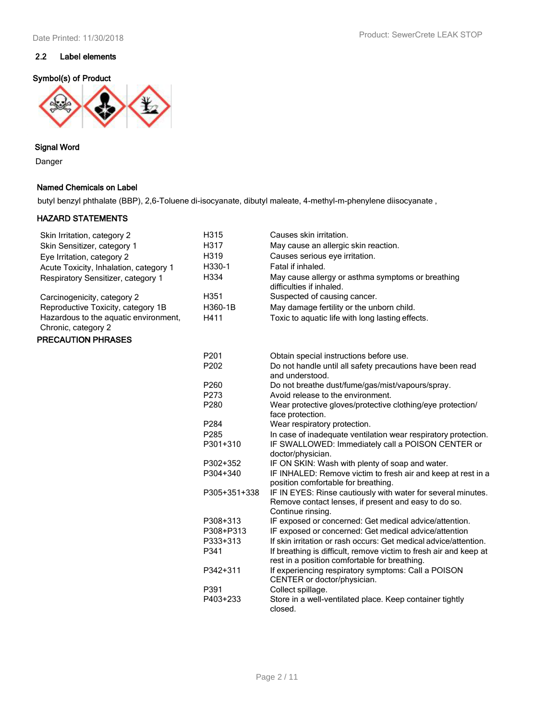### 2.2 Label elements

### Symbol(s) of Product



### Signal Word

Danger

### Named Chemicals on Label

butyl benzyl phthalate (BBP), 2,6-Toluene di-isocyanate, dibutyl maleate, 4-methyl-m-phenylene diisocyanate ,

### HAZARD STATEMENTS

| Skin Irritation, category 2                                  | H315             | Causes skin irritation.                                                                                                                   |
|--------------------------------------------------------------|------------------|-------------------------------------------------------------------------------------------------------------------------------------------|
| Skin Sensitizer, category 1                                  | H317             | May cause an allergic skin reaction.                                                                                                      |
| Eye Irritation, category 2                                   | H319             | Causes serious eye irritation.                                                                                                            |
| Acute Toxicity, Inhalation, category 1                       | H330-1           | Fatal if inhaled.                                                                                                                         |
| Respiratory Sensitizer, category 1                           | H334             | May cause allergy or asthma symptoms or breathing<br>difficulties if inhaled.                                                             |
| Carcinogenicity, category 2                                  | H351             | Suspected of causing cancer.                                                                                                              |
| Reproductive Toxicity, category 1B                           | H360-1B          | May damage fertility or the unborn child.                                                                                                 |
| Hazardous to the aquatic environment,<br>Chronic, category 2 | H411             | Toxic to aquatic life with long lasting effects.                                                                                          |
| PRECAUTION PHRASES                                           |                  |                                                                                                                                           |
|                                                              | P201             | Obtain special instructions before use.                                                                                                   |
|                                                              | P202             | Do not handle until all safety precautions have been read<br>and understood.                                                              |
|                                                              | P260             | Do not breathe dust/fume/gas/mist/vapours/spray.                                                                                          |
|                                                              | P273             | Avoid release to the environment.                                                                                                         |
|                                                              | P280             | Wear protective gloves/protective clothing/eye protection/<br>face protection.                                                            |
|                                                              | P284             | Wear respiratory protection.                                                                                                              |
|                                                              | P <sub>285</sub> | In case of inadequate ventilation wear respiratory protection.                                                                            |
|                                                              | P301+310         | IF SWALLOWED: Immediately call a POISON CENTER or<br>doctor/physician.                                                                    |
|                                                              | P302+352         | IF ON SKIN: Wash with plenty of soap and water.                                                                                           |
|                                                              | P304+340         | IF INHALED: Remove victim to fresh air and keep at rest in a<br>position comfortable for breathing.                                       |
|                                                              | P305+351+338     | IF IN EYES: Rinse cautiously with water for several minutes.<br>Remove contact lenses, if present and easy to do so.<br>Continue rinsing. |
|                                                              | P308+313         | IF exposed or concerned: Get medical advice/attention.                                                                                    |
|                                                              | P308+P313        | IF exposed or concerned: Get medical advice/attention                                                                                     |
|                                                              | P333+313         | If skin irritation or rash occurs: Get medical advice/attention.                                                                          |
|                                                              | P341             | If breathing is difficult, remove victim to fresh air and keep at<br>rest in a position comfortable for breathing.                        |
|                                                              | P342+311         | If experiencing respiratory symptoms: Call a POISON<br>CENTER or doctor/physician.                                                        |
|                                                              | P391             | Collect spillage.                                                                                                                         |
|                                                              | P403+233         | Store in a well-ventilated place. Keep container tightly<br>closed.                                                                       |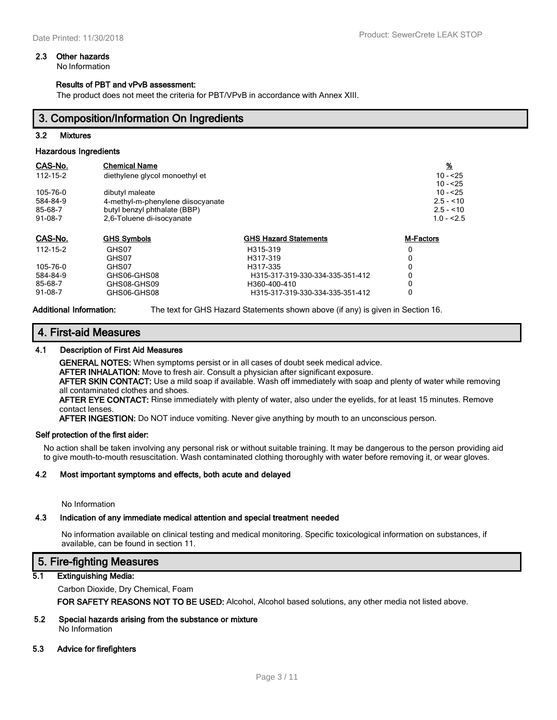#### 2.3 Other hazards

No Information

#### Results of PBT and vPvB assessment:

The product does not meet the criteria for PBT/VPvB in accordance with Annex XIII.

### 3. Composition/Information On Ingredients

#### 3.2 Mixtures

#### Hazardous Ingredients

| CAS-No.   | <b>Chemical Name</b>              |                                  | $\frac{96}{2}$   |
|-----------|-----------------------------------|----------------------------------|------------------|
| 112-15-2  | diethylene glycol monoethyl et    |                                  | $10 - 25$        |
|           |                                   |                                  | $10 - 25$        |
| 105-76-0  | dibutyl maleate                   |                                  | $10 - 25$        |
| 584-84-9  | 4-methyl-m-phenylene diisocyanate |                                  | $2.5 - 10$       |
| 85-68-7   | butyl benzyl phthalate (BBP)      |                                  | $2.5 - 10$       |
| $91-08-7$ | 2,6-Toluene di-isocyanate         |                                  | $1.0 - 2.5$      |
| CAS-No.   | <b>GHS Symbols</b>                | <b>GHS Hazard Statements</b>     | <b>M-Factors</b> |
| 112-15-2  | GHS07                             | H315-319                         | 0                |
|           | GHS07                             | H317-319                         |                  |
| 105-76-0  | GHS07                             | H317-335                         | 0                |
| 584-84-9  | GHS06-GHS08                       | H315-317-319-330-334-335-351-412 | 0                |
| 85-68-7   | GHS08-GHS09                       | H360-400-410                     |                  |
| $91-08-7$ | GHS06-GHS08                       | H315-317-319-330-334-335-351-412 | 0                |

Additional Information: The text for GHS Hazard Statements shown above (if any) is given in Section 16.

#### 4. First-aid Measures

#### 4.1 Description of First Aid Measures

GENERAL NOTES: When symptoms persist or in all cases of doubt seek medical advice.

AFTER INHALATION: Move to fresh air. Consult a physician after significant exposure.

AFTER SKIN CONTACT: Use a mild soap if available. Wash off immediately with soap and plenty of water while removing all contaminated clothes and shoes.

AFTER EYE CONTACT: Rinse immediately with plenty of water, also under the eyelids, for at least 15 minutes. Remove contact lenses.

AFTER INGESTION: Do NOT induce vomiting. Never give anything by mouth to an unconscious person.

#### Self protection of the first aider:

No action shall be taken involving any personal risk or without suitable training. It may be dangerous to the person providing aid to give mouth-to-mouth resuscitation. Wash contaminated clothing thoroughly with water before removing it, or wear gloves.

#### 4.2 Most important symptoms and effects, both acute and delayed

No Information

#### 4.3 Indication of any immediate medical attention and special treatment needed

No information available on clinical testing and medical monitoring. Specific toxicological information on substances, if available, can be found in section 11.

### 5. Fire-fighting Measures

#### 5.1 Extinguishing Media:

Carbon Dioxide, Dry Chemical, Foam

FOR SAFETY REASONS NOT TO BE USED: Alcohol, Alcohol based solutions, any other media not listed above.

#### 5.2 Special hazards arising from the substance or mixture No Information

#### 5.3 Advice for firefighters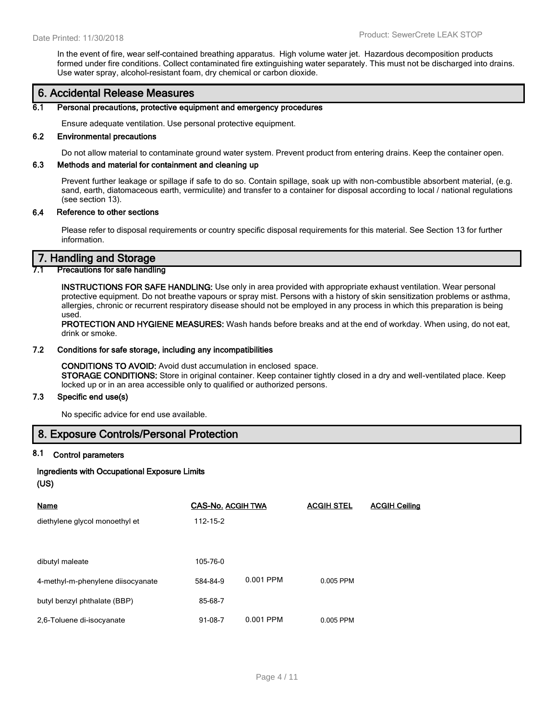In the event of fire, wear self-contained breathing apparatus. High volume water jet. Hazardous decomposition products formed under fire conditions. Collect contaminated fire extinguishing water separately. This must not be discharged into drains. Use water spray, alcohol-resistant foam, dry chemical or carbon dioxide.

### 6. Accidental Release Measures

#### 6.1 Personal precautions, protective equipment and emergency procedures

Ensure adequate ventilation. Use personal protective equipment.

#### 6.2 Environmental precautions

Do not allow material to contaminate ground water system. Prevent product from entering drains. Keep the container open.

#### 6.3 Methods and material for containment and cleaning up

Prevent further leakage or spillage if safe to do so. Contain spillage, soak up with non-combustible absorbent material, (e.g. sand, earth, diatomaceous earth, vermiculite) and transfer to a container for disposal according to local / national regulations (see section 13).

#### 6.4 Reference to other sections

Please refer to disposal requirements or country specific disposal requirements for this material. See Section 13 for further information.

### 7. Handling and Storage

#### **Precautions for safe handling**

INSTRUCTIONS FOR SAFE HANDLING: Use only in area provided with appropriate exhaust ventilation. Wear personal protective equipment. Do not breathe vapours or spray mist. Persons with a history of skin sensitization problems or asthma, allergies, chronic or recurrent respiratory disease should not be employed in any process in which this preparation is being used.

PROTECTION AND HYGIENE MEASURES: Wash hands before breaks and at the end of workday. When using, do not eat, drink or smoke.

#### 7.2 Conditions for safe storage, including any incompatibilities

CONDITIONS TO AVOID: Avoid dust accumulation in enclosed space. STORAGE CONDITIONS: Store in original container. Keep container tightly closed in a dry and well-ventilated place. Keep locked up or in an area accessible only to qualified or authorized persons.

#### 7.3 Specific end use(s)

No specific advice for end use available.

### 8. Exposure Controls/Personal Protection

### 8.1 Control parameters

#### Ingredients with Occupational Exposure Limits

#### (US)

| Name                              | <b>CAS-No. ACGIH TWA</b> |           | <b>ACGIH STEL</b> | <b>ACGIH Ceiling</b> |
|-----------------------------------|--------------------------|-----------|-------------------|----------------------|
| diethylene glycol monoethyl et    | 112-15-2                 |           |                   |                      |
|                                   |                          |           |                   |                      |
| dibutyl maleate                   | 105-76-0                 |           |                   |                      |
| 4-methyl-m-phenylene diisocyanate | 584-84-9                 | 0.001 PPM | 0.005 PPM         |                      |
| butyl benzyl phthalate (BBP)      | 85-68-7                  |           |                   |                      |
| 2,6-Toluene di-isocyanate         | $91-08-7$                | 0.001 PPM | 0.005 PPM         |                      |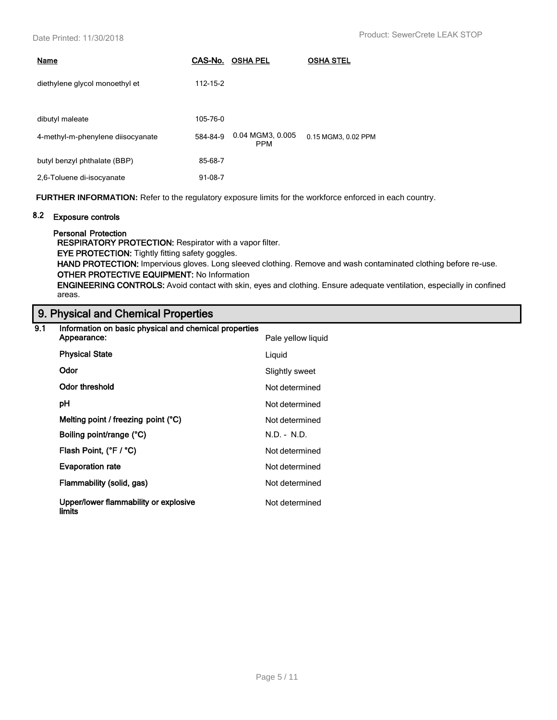| Name                              | CAS-No.   | <b>OSHA PEL</b>                | <b>OSHA STEL</b>    |
|-----------------------------------|-----------|--------------------------------|---------------------|
| diethylene glycol monoethyl et    | 112-15-2  |                                |                     |
| dibutyl maleate                   | 105-76-0  |                                |                     |
| 4-methyl-m-phenylene diisocyanate | 584-84-9  | 0.04 MGM3, 0.005<br><b>PPM</b> | 0.15 MGM3, 0.02 PPM |
| butyl benzyl phthalate (BBP)      | 85-68-7   |                                |                     |
| 2,6-Toluene di-isocyanate         | $91-08-7$ |                                |                     |

**FURTHER INFORMATION:** Refer to the regulatory exposure limits for the workforce enforced in each country.

### 8.2 Exposure controls

Personal Protection

RESPIRATORY PROTECTION: Respirator with a vapor filter.

EYE PROTECTION: Tightly fitting safety goggles.

HAND PROTECTION: Impervious gloves. Long sleeved clothing. Remove and wash contaminated clothing before re-use. OTHER PROTECTIVE EQUIPMENT: No Information

ENGINEERING CONTROLS: Avoid contact with skin, eyes and clothing. Ensure adequate ventilation, especially in confined areas.

# 9. Physical and Chemical Properties

| 9.1 | Information on basic physical and chemical properties |                    |  |
|-----|-------------------------------------------------------|--------------------|--|
|     | Appearance:                                           | Pale yellow liquid |  |
|     | <b>Physical State</b>                                 | Liquid             |  |
|     | <b>Odor</b>                                           | Slightly sweet     |  |
|     | Odor threshold                                        | Not determined     |  |
|     | рH                                                    | Not determined     |  |
|     | Melting point / freezing point (°C)                   | Not determined     |  |
|     | Boiling point/range (°C)                              | $N.D. - N.D.$      |  |
|     | Flash Point, (°F / °C)                                | Not determined     |  |
|     | <b>Evaporation rate</b>                               | Not determined     |  |
|     | Flammability (solid, gas)                             | Not determined     |  |
|     | Upper/lower flammability or explosive<br>limits       | Not determined     |  |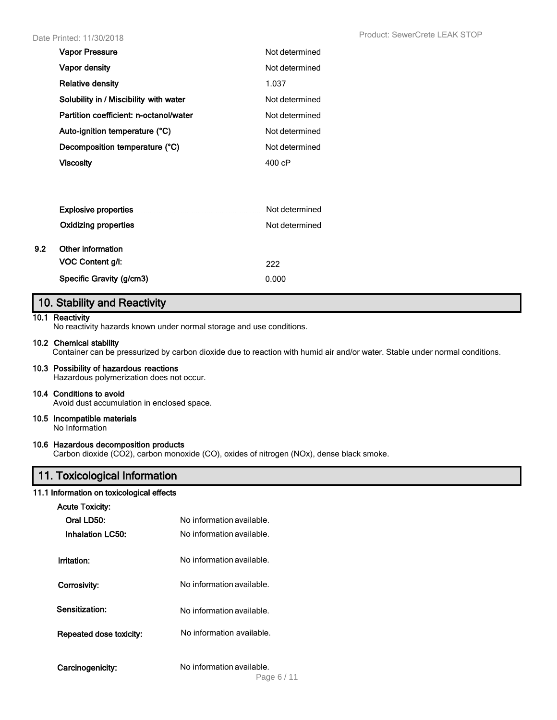| <b>Vapor Pressure</b>                  | Not determined |
|----------------------------------------|----------------|
| Vapor density                          | Not determined |
| <b>Relative density</b>                | 1.037          |
| Solubility in / Miscibility with water | Not determined |
| Partition coefficient: n-octanol/water | Not determined |
| Auto-ignition temperature (°C)         | Not determined |
| Decomposition temperature (°C)         | Not determined |
| Viscosity                              | 400 cP         |

|     | <b>Explosive properties</b><br>Oxidizing properties | Not determined<br>Not determined |
|-----|-----------------------------------------------------|----------------------------------|
| 9.2 | Other information<br>VOC Content g/l:               | 222                              |
|     | Specific Gravity (g/cm3)                            | 0.000                            |

### 10. Stability and Reactivity

#### 10.1 Reactivity

No reactivity hazards known under normal storage and use conditions.

#### 10.2 Chemical stability

Container can be pressurized by carbon dioxide due to reaction with humid air and/or water. Stable under normal conditions.

#### 10.3 Possibility of hazardous reactions

Hazardous polymerization does not occur.

#### 10.4 Conditions to avoid

Avoid dust accumulation in enclosed space.

### 10.5 Incompatible materials

No Information

### 10.6 Hazardous decomposition products

Carbon dioxide (CO2), carbon monoxide (CO), oxides of nitrogen (NOx), dense black smoke.

### 11. Toxicological Information

#### 11.1 Information on toxicological effects

| <b>Acute Toxicity:</b>  |                           |
|-------------------------|---------------------------|
| Oral LD50:              | No information available. |
| Inhalation LC50:        | No information available. |
| Irritation:             | No information available. |
| Corrosivity:            | No information available. |
| Sensitization:          | No information available. |
| Repeated dose toxicity: | No information available. |
| Carcinogenicity:        | No information available. |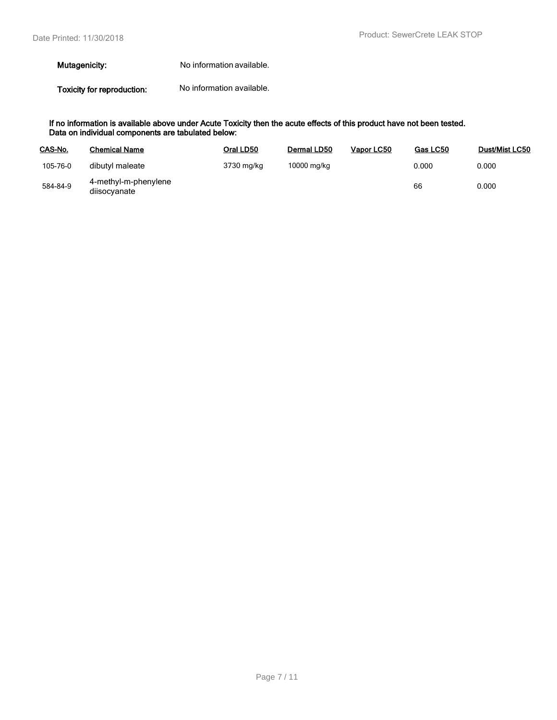#### Mutagenicity: No information available.

Toxicity for reproduction: No information available.

#### If no information is available above under Acute Toxicity then the acute effects of this product have not been tested. Data on individual components are tabulated below:

| CAS-No.  | <b>Chemical Name</b>                 | Oral LD50  | Dermal LD50 | Vapor LC50 | Gas LC50 | <b>Dust/Mist LC50</b> |
|----------|--------------------------------------|------------|-------------|------------|----------|-----------------------|
| 105-76-0 | dibutyl maleate                      | 3730 mg/kg | 10000 mg/kg |            | 0.000    | 0.000                 |
| 584-84-9 | 4-methyl-m-phenylene<br>diisocyanate |            |             |            | 66       | 0.000                 |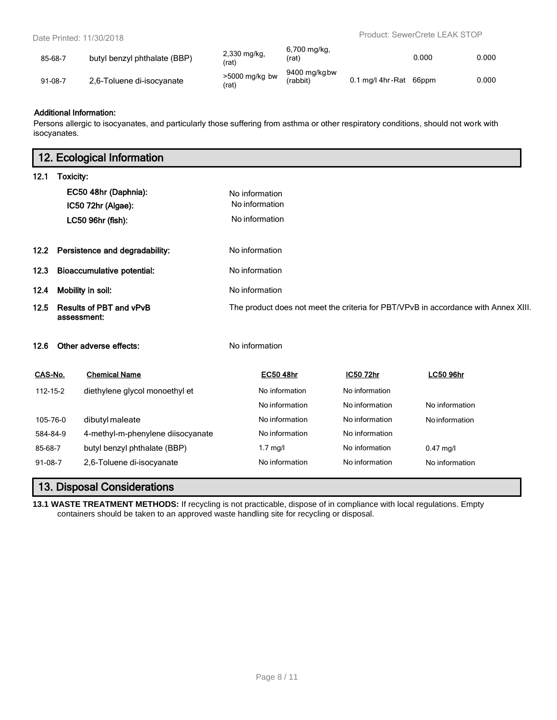| 85-68-7       | butyl benzyl phthalate (BBP) | 2,330 mg/kg,<br>(rat)     | 6,700 mg/kg.<br>'rat)    |                    | 0.000 | 0.000 |
|---------------|------------------------------|---------------------------|--------------------------|--------------------|-------|-------|
| $91 - 08 - 7$ | 2,6-Toluene di-isocyanate    | $>5000$ mg/kg bw<br>(rat) | 9400 mg/kgbw<br>(rabbit) | $0.1$ ma/l 4hr-Rat | 66ppm | 0.000 |

#### Additional Information:

Persons allergic to isocyanates, and particularly those suffering from asthma or other respiratory conditions, should not work with isocyanates.

| 12. Ecological Information                            |                   |                                   |                  |                |                                                                                    |
|-------------------------------------------------------|-------------------|-----------------------------------|------------------|----------------|------------------------------------------------------------------------------------|
| 12.1                                                  | Toxicity:         |                                   |                  |                |                                                                                    |
|                                                       |                   | EC50 48hr (Daphnia):              | No information   |                |                                                                                    |
|                                                       |                   | IC50 72hr (Algae):                | No information   |                |                                                                                    |
|                                                       |                   | LC50 96hr (fish):                 | No information   |                |                                                                                    |
| 12.2                                                  |                   | Persistence and degradability:    | No information   |                |                                                                                    |
| <b>Bioaccumulative potential:</b><br>12.3             |                   |                                   | No information   |                |                                                                                    |
| 12.4                                                  | Mobility in soil: |                                   | No information   |                |                                                                                    |
| <b>Results of PBT and vPvB</b><br>12.5<br>assessment: |                   |                                   |                  |                | The product does not meet the criteria for PBT/VPvB in accordance with Annex XIII. |
| Other adverse effects:<br>12.6                        |                   |                                   | No information   |                |                                                                                    |
| CAS-No.                                               |                   | <b>Chemical Name</b>              | <b>EC50 48hr</b> | IC50 72hr      | <b>LC50 96hr</b>                                                                   |
| 112-15-2                                              |                   | diethylene glycol monoethyl et    | No information   | No information |                                                                                    |
|                                                       |                   |                                   | No information   | No information | No information                                                                     |
| 105-76-0                                              |                   | dibutyl maleate                   | No information   | No information | Noinformation                                                                      |
| 584-84-9                                              |                   | 4-methyl-m-phenylene diisocyanate | No information   | No information |                                                                                    |
| 85-68-7                                               |                   | butyl benzyl phthalate (BBP)      | $1.7$ mg/l       | No information | $0.47$ mg/l                                                                        |
| $91-08-7$                                             |                   | 2,6-Toluene di-isocyanate         | No information   | No information | No information                                                                     |

# 13. Disposal Considerations

**13.1 WASTE TREATMENT METHODS:** If recycling is not practicable, dispose of in compliance with local regulations. Empty containers should be taken to an approved waste handling site for recycling or disposal.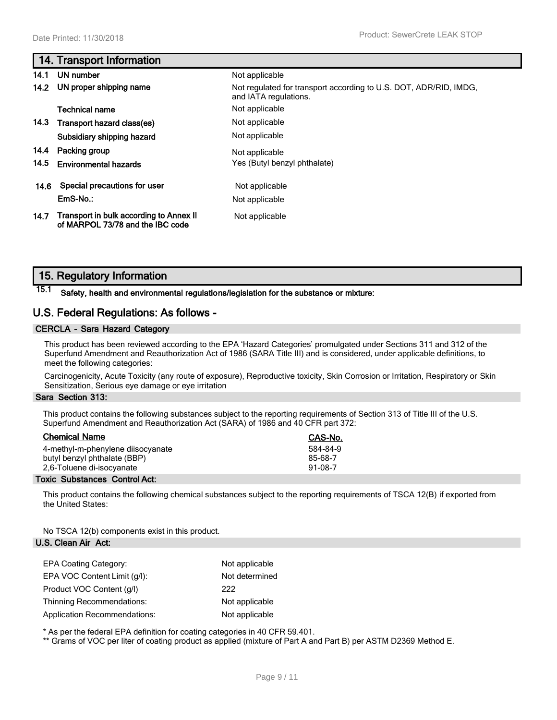### 14. Transport Information

| 14.1 | UN number                                                                   | Not applicable                                                                             |
|------|-----------------------------------------------------------------------------|--------------------------------------------------------------------------------------------|
|      | 14.2 UN proper shipping name                                                | Not regulated for transport according to U.S. DOT, ADR/RID, IMDG.<br>and IATA regulations. |
|      | <b>Technical name</b>                                                       | Not applicable                                                                             |
|      | 14.3 Transport hazard class(es)                                             | Not applicable                                                                             |
|      | Subsidiary shipping hazard                                                  | Not applicable                                                                             |
| 14.4 | Packing group                                                               | Not applicable                                                                             |
| 14.5 | <b>Environmental hazards</b>                                                | Yes (Butyl benzyl phthalate)                                                               |
| 14.6 | Special precautions for user                                                | Not applicable                                                                             |
|      | EmS-No.:                                                                    | Not applicable                                                                             |
| 14.7 | Transport in bulk according to Annex II<br>of MARPOL 73/78 and the IBC code | Not applicable                                                                             |

### 15. Regulatory Information

### 15.1 Safety, health and environmental regulations/legislation for the substance or mixture:

### U.S. Federal Regulations: As follows -

#### CERCLA - Sara Hazard Category

This product has been reviewed according to the EPA 'Hazard Categories' promulgated under Sections 311 and 312 of the Superfund Amendment and Reauthorization Act of 1986 (SARA Title III) and is considered, under applicable definitions, to meet the following categories:

Carcinogenicity, Acute Toxicity (any route of exposure), Reproductive toxicity, Skin Corrosion or Irritation, Respiratory or Skin Sensitization, Serious eye damage or eye irritation

#### Sara Section 313:

This product contains the following substances subject to the reporting requirements of Section 313 of Title III of the U.S. Superfund Amendment and Reauthorization Act (SARA) of 1986 and 40 CFR part 372:

| <b>Chemical Name</b>              | CAS-No.   |
|-----------------------------------|-----------|
| 4-methyl-m-phenylene diisocyanate | 584-84-9  |
| butyl benzyl phthalate (BBP)      | 85-68-7   |
| 2,6-Toluene di-isocyanate         | $91-08-7$ |

#### Toxic Substances Control Act:

This product contains the following chemical substances subject to the reporting requirements of TSCA 12(B) if exported from the United States:

No TSCA 12(b) components exist in this product.

#### U.S. Clean Air Act:

| <b>EPA Coating Category:</b>        | Not applicable |
|-------------------------------------|----------------|
| EPA VOC Content Limit (q/l):        | Not determined |
| Product VOC Content (g/l)           | 222            |
| <b>Thinning Recommendations:</b>    | Not applicable |
| <b>Application Recommendations:</b> | Not applicable |

\* As per the federal EPA definition for coating categories in 40 CFR 59.401.

\*\* Grams of VOC per liter of coating product as applied (mixture of Part A and Part B) per ASTM D2369 Method E.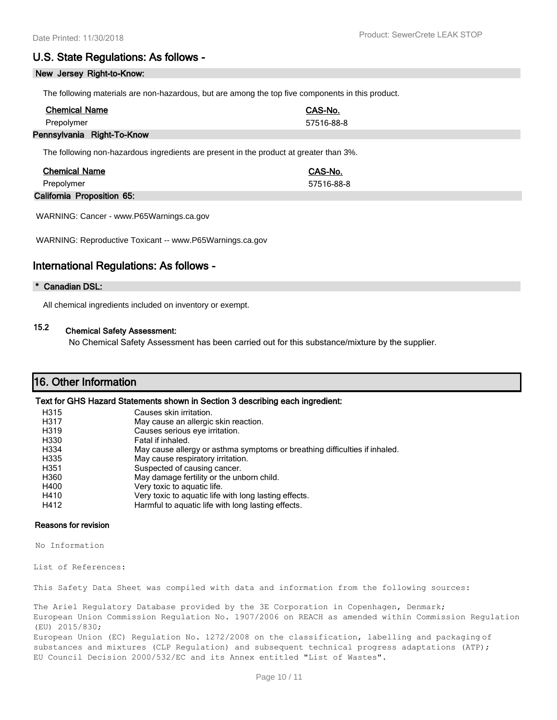### U.S. State Regulations: As follows -

#### New Jersey Right-to-Know:

The following materials are non-hazardous, but are among the top five components in this product.

| <b>Chemical Name</b>       | CAS-No.    |
|----------------------------|------------|
| Prepolymer                 | 57516-88-8 |
| Pennsylvania Right-To-Know |            |

The following non-hazardous ingredients are present in the product at greater than 3%.

| <b>Chemical Name</b>       | CAS-No.    |  |
|----------------------------|------------|--|
| Prepolymer                 | 57516-88-8 |  |
| California Proposition 65: |            |  |

WARNING: Cancer - [www.P65Warnings.ca.gov](http://www.p65warnings.ca.gov/)

WARNING: Reproductive Toxicant -- [www.P65Warnings.ca.gov](http://www.p65warnings.ca.gov/)

### International Regulations: As follows -

#### \* Canadian DSL:

All chemical ingredients included on inventory or exempt.

# 15.2 Chemical Safety Assessment:

No Chemical Safety Assessment has been carried out for this substance/mixture by the supplier.

### 16. Other Information

#### Text for GHS Hazard Statements shown in Section 3 describing each ingredient:

| H315 | Causes skin irritation.                                                    |
|------|----------------------------------------------------------------------------|
| H317 | May cause an allergic skin reaction.                                       |
| H319 | Causes serious eye irritation.                                             |
| H330 | Fatal if inhaled.                                                          |
| H334 | May cause allergy or asthma symptoms or breathing difficulties if inhaled. |
| H335 | May cause respiratory irritation.                                          |
| H351 | Suspected of causing cancer.                                               |
| H360 | May damage fertility or the unborn child.                                  |
| H400 | Very toxic to aquatic life.                                                |
| H410 | Very toxic to aquatic life with long lasting effects.                      |
| H412 | Harmful to aquatic life with long lasting effects.                         |
|      |                                                                            |

#### Reasons for revision

No Information

List of References:

This Safety Data Sheet was compiled with data and information from the following sources:

The Ariel Regulatory Database provided by the 3E Corporation in Copenhagen, Denmark; European Union Commission Regulation No. 1907/2006 on REACH as amended within Commission Regulation (EU) 2015/830;

European Union (EC) Regulation No. 1272/2008 on the classification, labelling and packaging of substances and mixtures (CLP Regulation) and subsequent technical progress adaptations (ATP); EU Council Decision 2000/532/EC and its Annex entitled "List of Wastes".